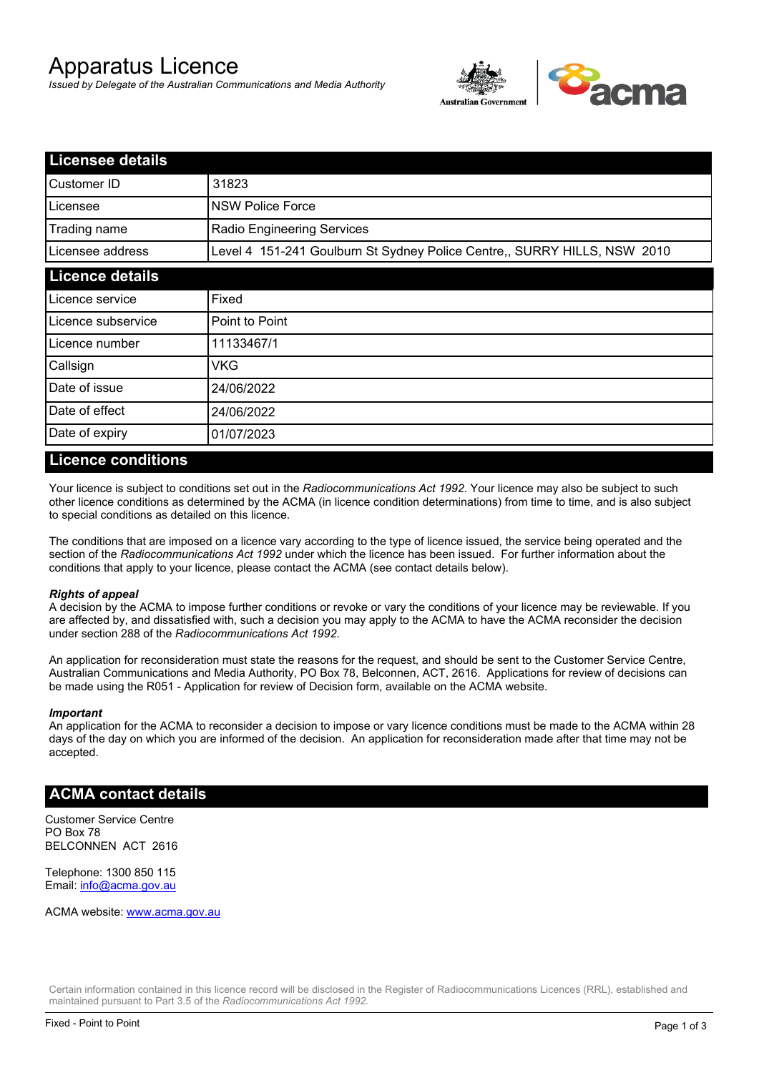# Apparatus Licence

*Issued by Delegate of the Australian Communications and Media Authority*



| <b>Licensee details</b> |                                                                          |  |
|-------------------------|--------------------------------------------------------------------------|--|
| Customer ID             | 31823                                                                    |  |
| Licensee                | <b>NSW Police Force</b>                                                  |  |
| Trading name            | Radio Engineering Services                                               |  |
| Licensee address        | Level 4 151-241 Goulburn St Sydney Police Centre,, SURRY HILLS, NSW 2010 |  |
| <b>Licence details</b>  |                                                                          |  |
| Licence service         | Fixed                                                                    |  |
| Licence subservice      | Point to Point                                                           |  |
| Licence number          | 11133467/1                                                               |  |
| Callsign                | VKG                                                                      |  |
| Date of issue           | 24/06/2022                                                               |  |
| Date of effect          | 24/06/2022                                                               |  |
| Date of expiry          | 01/07/2023                                                               |  |

#### **Licence conditions**

Your licence is subject to conditions set out in the *Radiocommunications Act 1992*. Your licence may also be subject to such other licence conditions as determined by the ACMA (in licence condition determinations) from time to time, and is also subject to special conditions as detailed on this licence.

The conditions that are imposed on a licence vary according to the type of licence issued, the service being operated and the section of the *Radiocommunications Act 1992* under which the licence has been issued. For further information about the conditions that apply to your licence, please contact the ACMA (see contact details below).

#### *Rights of appeal*

A decision by the ACMA to impose further conditions or revoke or vary the conditions of your licence may be reviewable. If you are affected by, and dissatisfied with, such a decision you may apply to the ACMA to have the ACMA reconsider the decision under section 288 of the *Radiocommunications Act 1992*.

An application for reconsideration must state the reasons for the request, and should be sent to the Customer Service Centre, Australian Communications and Media Authority, PO Box 78, Belconnen, ACT, 2616. Applications for review of decisions can be made using the R051 - Application for review of Decision form, available on the ACMA website.

#### *Important*

An application for the ACMA to reconsider a decision to impose or vary licence conditions must be made to the ACMA within 28 days of the day on which you are informed of the decision. An application for reconsideration made after that time may not be accepted.

#### **ACMA contact details**

Customer Service Centre PO Box 78 BELCONNEN ACT 2616

Telephone: 1300 850 115 Email: info@acma.gov.au

ACMA website: www.acma.gov.au

Certain information contained in this licence record will be disclosed in the Register of Radiocommunications Licences (RRL), established and maintained pursuant to Part 3.5 of the *Radiocommunications Act 1992.*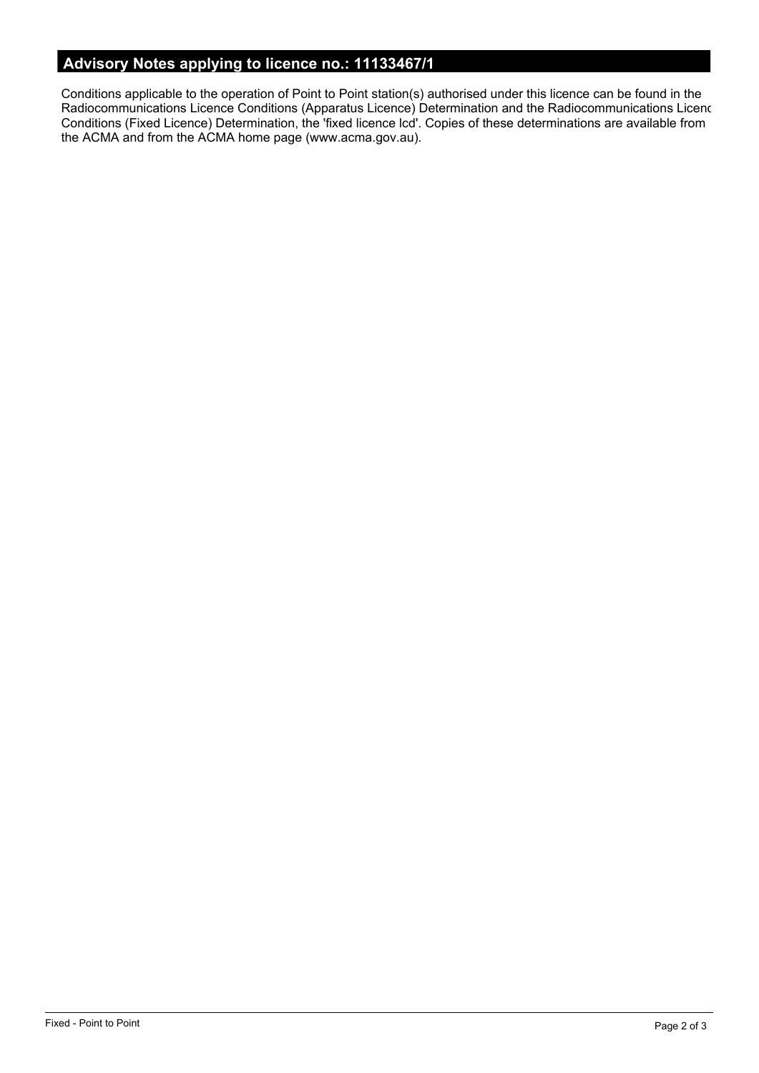# **Advisory Notes applying to licence no.: 11133467/1**

Conditions applicable to the operation of Point to Point station(s) authorised under this licence can be found in the Radiocommunications Licence Conditions (Apparatus Licence) Determination and the Radiocommunications Licence Conditions (Fixed Licence) Determination, the 'fixed licence lcd'. Copies of these determinations are available from the ACMA and from the ACMA home page (www.acma.gov.au).